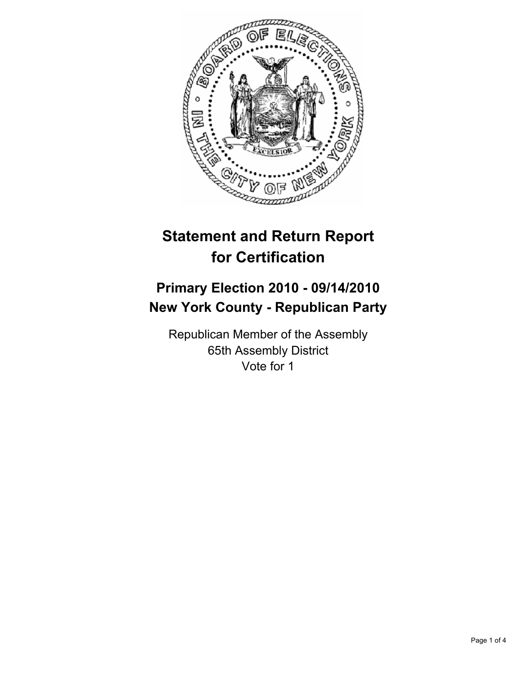

# **Statement and Return Report for Certification**

## **Primary Election 2010 - 09/14/2010 New York County - Republican Party**

Republican Member of the Assembly 65th Assembly District Vote for 1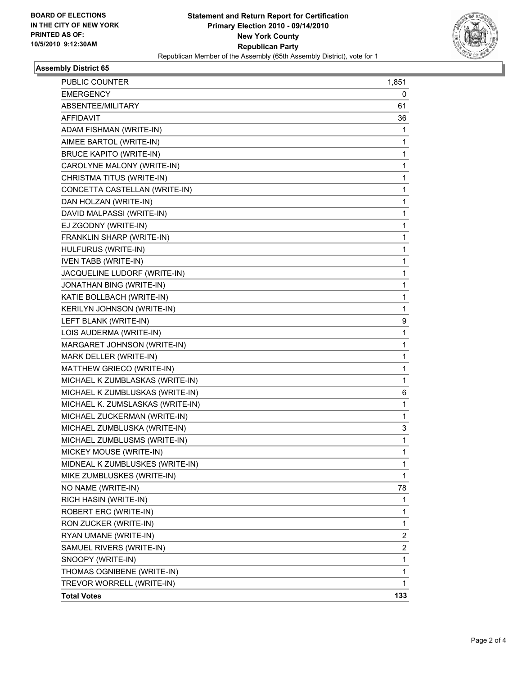

#### **Assembly District 65**

| <b>PUBLIC COUNTER</b>            | 1,851 |
|----------------------------------|-------|
| EMERGENCY                        | 0     |
| ABSENTEE/MILITARY                | 61    |
| AFFIDAVIT                        | 36    |
| ADAM FISHMAN (WRITE-IN)          | 1     |
| AIMEE BARTOL (WRITE-IN)          | 1     |
| <b>BRUCE KAPITO (WRITE-IN)</b>   | 1     |
| CAROLYNE MALONY (WRITE-IN)       | 1     |
| CHRISTMA TITUS (WRITE-IN)        | 1     |
| CONCETTA CASTELLAN (WRITE-IN)    | 1     |
| DAN HOLZAN (WRITE-IN)            | 1     |
| DAVID MALPASSI (WRITE-IN)        | 1     |
| EJ ZGODNY (WRITE-IN)             | 1     |
| FRANKLIN SHARP (WRITE-IN)        | 1     |
| HULFURUS (WRITE-IN)              | 1     |
| <b>IVEN TABB (WRITE-IN)</b>      | 1     |
| JACQUELINE LUDORF (WRITE-IN)     | 1     |
| JONATHAN BING (WRITE-IN)         | 1     |
| KATIE BOLLBACH (WRITE-IN)        | 1     |
| KERILYN JOHNSON (WRITE-IN)       | 1     |
| LEFT BLANK (WRITE-IN)            | 9     |
| LOIS AUDERMA (WRITE-IN)          | 1     |
| MARGARET JOHNSON (WRITE-IN)      | 1     |
| MARK DELLER (WRITE-IN)           | 1     |
| MATTHEW GRIECO (WRITE-IN)        | 1     |
| MICHAEL K ZUMBLASKAS (WRITE-IN)  | 1     |
| MICHAEL K ZUMBLUSKAS (WRITE-IN)  | 6     |
| MICHAEL K. ZUMSLASKAS (WRITE-IN) | 1     |
| MICHAEL ZUCKERMAN (WRITE-IN)     | 1     |
| MICHAEL ZUMBLUSKA (WRITE-IN)     | 3     |
| MICHAEL ZUMBLUSMS (WRITE-IN)     | 1     |
| MICKEY MOUSE (WRITE-IN)          | 1     |
| MIDNEAL K ZUMBLUSKES (WRITE-IN)  | 1     |
| MIKE ZUMBLUSKES (WRITE-IN)       | 1     |
| NO NAME (WRITE-IN)               | 78    |
| RICH HASIN (WRITE-IN)            | 1     |
| ROBERT ERC (WRITE-IN)            | 1     |
| RON ZUCKER (WRITE-IN)            | 1     |
| RYAN UMANE (WRITE-IN)            | 2     |
| SAMUEL RIVERS (WRITE-IN)         | 2     |
| SNOOPY (WRITE-IN)                | 1     |
| THOMAS OGNIBENE (WRITE-IN)       | 1     |
| TREVOR WORRELL (WRITE-IN)        | 1     |
| <b>Total Votes</b>               | 133   |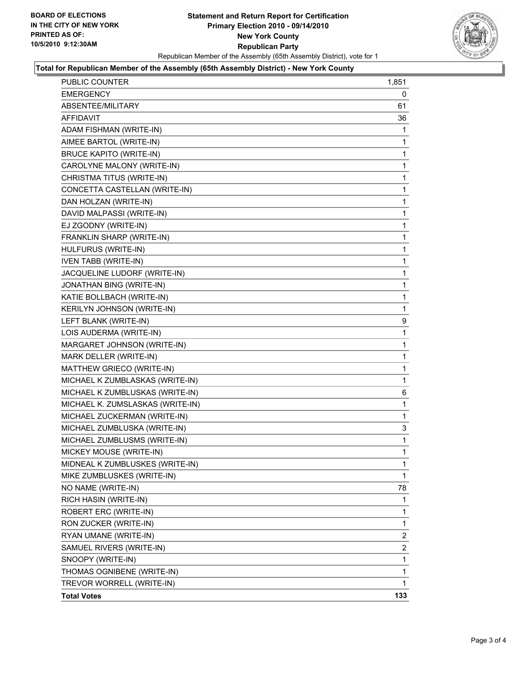

#### **Total for Republican Member of the Assembly (65th Assembly District) - New York County**

| PUBLIC COUNTER                   | 1,851        |
|----------------------------------|--------------|
| <b>EMERGENCY</b>                 | 0            |
| ABSENTEE/MILITARY                | 61           |
| <b>AFFIDAVIT</b>                 | 36           |
| ADAM FISHMAN (WRITE-IN)          | 1            |
| AIMEE BARTOL (WRITE-IN)          | 1            |
| <b>BRUCE KAPITO (WRITE-IN)</b>   | 1            |
| CAROLYNE MALONY (WRITE-IN)       | 1            |
| CHRISTMA TITUS (WRITE-IN)        | 1            |
| CONCETTA CASTELLAN (WRITE-IN)    | 1            |
| DAN HOLZAN (WRITE-IN)            | 1            |
| DAVID MALPASSI (WRITE-IN)        | 1            |
| EJ ZGODNY (WRITE-IN)             | 1            |
| FRANKLIN SHARP (WRITE-IN)        | 1            |
| HULFURUS (WRITE-IN)              | 1            |
| <b>IVEN TABB (WRITE-IN)</b>      | 1            |
| JACQUELINE LUDORF (WRITE-IN)     | 1            |
| JONATHAN BING (WRITE-IN)         | 1            |
| KATIE BOLLBACH (WRITE-IN)        | 1            |
| KERILYN JOHNSON (WRITE-IN)       | 1            |
| LEFT BLANK (WRITE-IN)            | 9            |
| LOIS AUDERMA (WRITE-IN)          | 1            |
| MARGARET JOHNSON (WRITE-IN)      | 1            |
| MARK DELLER (WRITE-IN)           | 1            |
| MATTHEW GRIECO (WRITE-IN)        | 1            |
| MICHAEL K ZUMBLASKAS (WRITE-IN)  | 1            |
| MICHAEL K ZUMBLUSKAS (WRITE-IN)  | 6            |
| MICHAEL K. ZUMSLASKAS (WRITE-IN) | 1            |
| MICHAEL ZUCKERMAN (WRITE-IN)     | 1            |
| MICHAEL ZUMBLUSKA (WRITE-IN)     | 3            |
| MICHAEL ZUMBLUSMS (WRITE-IN)     | 1            |
| MICKEY MOUSE (WRITE-IN)          | 1            |
| MIDNEAL K ZUMBLUSKES (WRITE-IN)  | 1            |
| MIKE ZUMBLUSKES (WRITE-IN)       | 1            |
| NO NAME (WRITE-IN)               | 78           |
| RICH HASIN (WRITE-IN)            | 1            |
| ROBERT ERC (WRITE-IN)            | 1            |
| RON ZUCKER (WRITE-IN)            | 1            |
| RYAN UMANE (WRITE-IN)            | 2            |
| SAMUEL RIVERS (WRITE-IN)         | 2            |
| SNOOPY (WRITE-IN)                | 1            |
| THOMAS OGNIBENE (WRITE-IN)       | 1            |
| TREVOR WORRELL (WRITE-IN)        | $\mathbf{1}$ |
| <b>Total Votes</b>               | 133          |
|                                  |              |